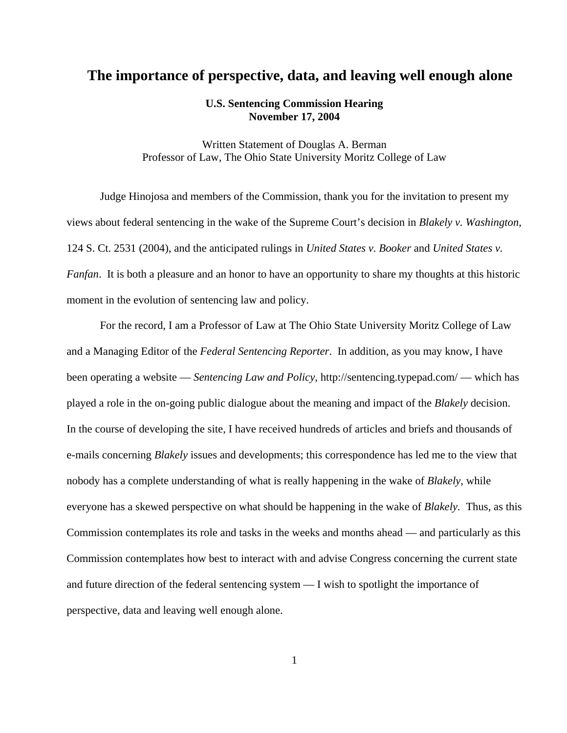# **The importance of perspective, data, and leaving well enough alone**

# **U.S. Sentencing Commission Hearing November 17, 2004**

Written Statement of Douglas A. Berman Professor of Law, The Ohio State University Moritz College of Law

 Judge Hinojosa and members of the Commission, thank you for the invitation to present my views about federal sentencing in the wake of the Supreme Court's decision in *Blakely v. Washington*, 124 S. Ct. 2531 (2004), and the anticipated rulings in *United States v. Booker* and *United States v. Fanfan*. It is both a pleasure and an honor to have an opportunity to share my thoughts at this historic moment in the evolution of sentencing law and policy.

 For the record, I am a Professor of Law at The Ohio State University Moritz College of Law and a Managing Editor of the *Federal Sentencing Reporter*. In addition, as you may know, I have been operating a website — *Sentencing Law and Policy*, http://sentencing.typepad.com/ — which has played a role in the on-going public dialogue about the meaning and impact of the *Blakely* decision. In the course of developing the site, I have received hundreds of articles and briefs and thousands of e-mails concerning *Blakely* issues and developments; this correspondence has led me to the view that nobody has a complete understanding of what is really happening in the wake of *Blakely*, while everyone has a skewed perspective on what should be happening in the wake of *Blakely.* Thus, as this Commission contemplates its role and tasks in the weeks and months ahead — and particularly as this Commission contemplates how best to interact with and advise Congress concerning the current state and future direction of the federal sentencing system — I wish to spotlight the importance of perspective, data and leaving well enough alone.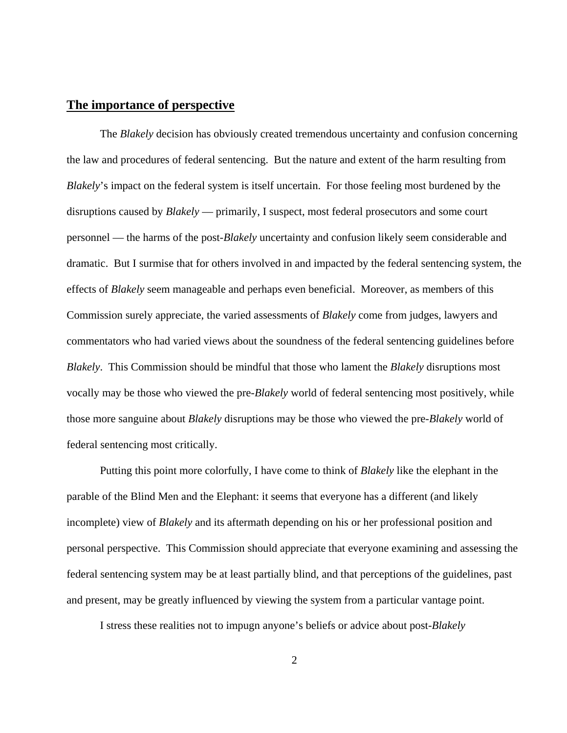# **The importance of perspective**

 The *Blakely* decision has obviously created tremendous uncertainty and confusion concerning the law and procedures of federal sentencing. But the nature and extent of the harm resulting from *Blakely*'s impact on the federal system is itself uncertain. For those feeling most burdened by the disruptions caused by *Blakely* — primarily, I suspect, most federal prosecutors and some court personnel — the harms of the post-*Blakely* uncertainty and confusion likely seem considerable and dramatic. But I surmise that for others involved in and impacted by the federal sentencing system, the effects of *Blakely* seem manageable and perhaps even beneficial. Moreover, as members of this Commission surely appreciate, the varied assessments of *Blakely* come from judges, lawyers and commentators who had varied views about the soundness of the federal sentencing guidelines before *Blakely*. This Commission should be mindful that those who lament the *Blakely* disruptions most vocally may be those who viewed the pre-*Blakely* world of federal sentencing most positively, while those more sanguine about *Blakely* disruptions may be those who viewed the pre-*Blakely* world of federal sentencing most critically.

 Putting this point more colorfully, I have come to think of *Blakely* like the elephant in the parable of the Blind Men and the Elephant: it seems that everyone has a different (and likely incomplete) view of *Blakely* and its aftermath depending on his or her professional position and personal perspective. This Commission should appreciate that everyone examining and assessing the federal sentencing system may be at least partially blind, and that perceptions of the guidelines, past and present, may be greatly influenced by viewing the system from a particular vantage point.

I stress these realities not to impugn anyone's beliefs or advice about post-*Blakely*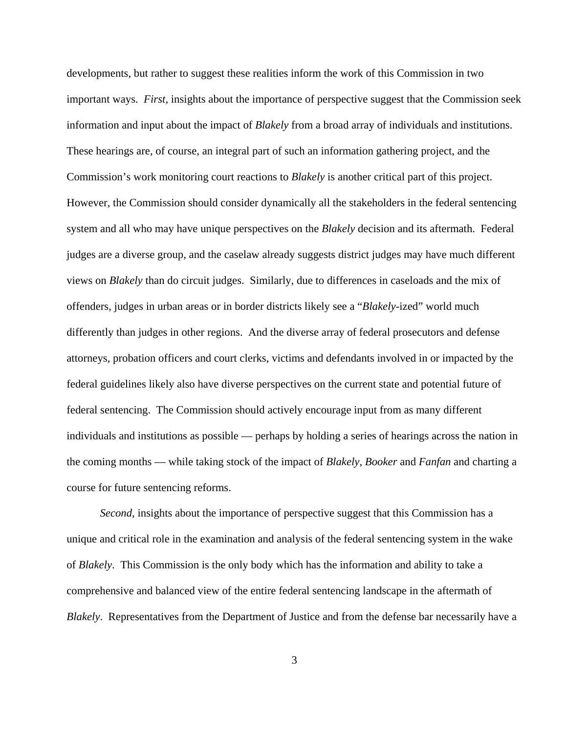developments, but rather to suggest these realities inform the work of this Commission in two important ways. *First*, insights about the importance of perspective suggest that the Commission seek information and input about the impact of *Blakely* from a broad array of individuals and institutions. These hearings are, of course, an integral part of such an information gathering project, and the Commission's work monitoring court reactions to *Blakely* is another critical part of this project. However, the Commission should consider dynamically all the stakeholders in the federal sentencing system and all who may have unique perspectives on the *Blakely* decision and its aftermath. Federal judges are a diverse group, and the caselaw already suggests district judges may have much different views on *Blakely* than do circuit judges. Similarly, due to differences in caseloads and the mix of offenders, judges in urban areas or in border districts likely see a "*Blakely*-ized" world much differently than judges in other regions. And the diverse array of federal prosecutors and defense attorneys, probation officers and court clerks, victims and defendants involved in or impacted by the federal guidelines likely also have diverse perspectives on the current state and potential future of federal sentencing. The Commission should actively encourage input from as many different individuals and institutions as possible — perhaps by holding a series of hearings across the nation in the coming months — while taking stock of the impact of *Blakely*, *Booker* and *Fanfan* and charting a course for future sentencing reforms.

 *Second*, insights about the importance of perspective suggest that this Commission has a unique and critical role in the examination and analysis of the federal sentencing system in the wake of *Blakely*. This Commission is the only body which has the information and ability to take a comprehensive and balanced view of the entire federal sentencing landscape in the aftermath of *Blakely*. Representatives from the Department of Justice and from the defense bar necessarily have a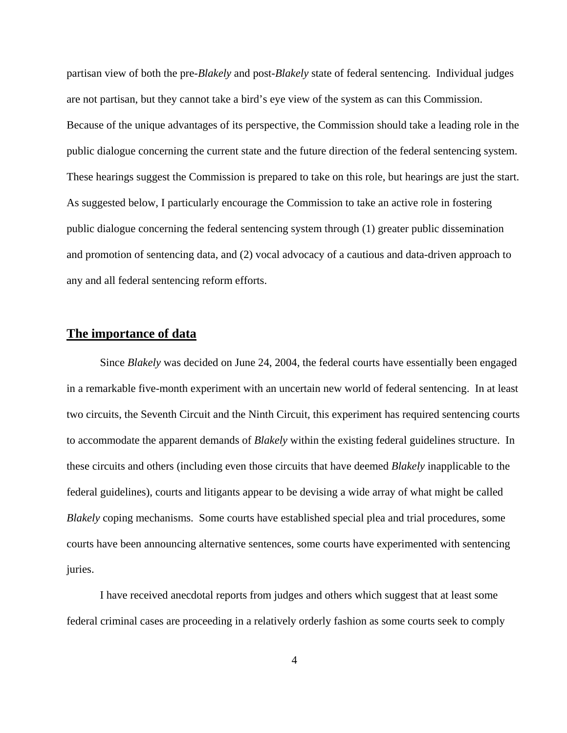partisan view of both the pre-*Blakely* and post-*Blakely* state of federal sentencing. Individual judges are not partisan, but they cannot take a bird's eye view of the system as can this Commission. Because of the unique advantages of its perspective, the Commission should take a leading role in the public dialogue concerning the current state and the future direction of the federal sentencing system. These hearings suggest the Commission is prepared to take on this role, but hearings are just the start. As suggested below, I particularly encourage the Commission to take an active role in fostering public dialogue concerning the federal sentencing system through (1) greater public dissemination and promotion of sentencing data, and (2) vocal advocacy of a cautious and data-driven approach to any and all federal sentencing reform efforts.

# **The importance of data**

 Since *Blakely* was decided on June 24, 2004, the federal courts have essentially been engaged in a remarkable five-month experiment with an uncertain new world of federal sentencing. In at least two circuits, the Seventh Circuit and the Ninth Circuit, this experiment has required sentencing courts to accommodate the apparent demands of *Blakely* within the existing federal guidelines structure. In these circuits and others (including even those circuits that have deemed *Blakely* inapplicable to the federal guidelines), courts and litigants appear to be devising a wide array of what might be called *Blakely* coping mechanisms. Some courts have established special plea and trial procedures, some courts have been announcing alternative sentences, some courts have experimented with sentencing juries.

 I have received anecdotal reports from judges and others which suggest that at least some federal criminal cases are proceeding in a relatively orderly fashion as some courts seek to comply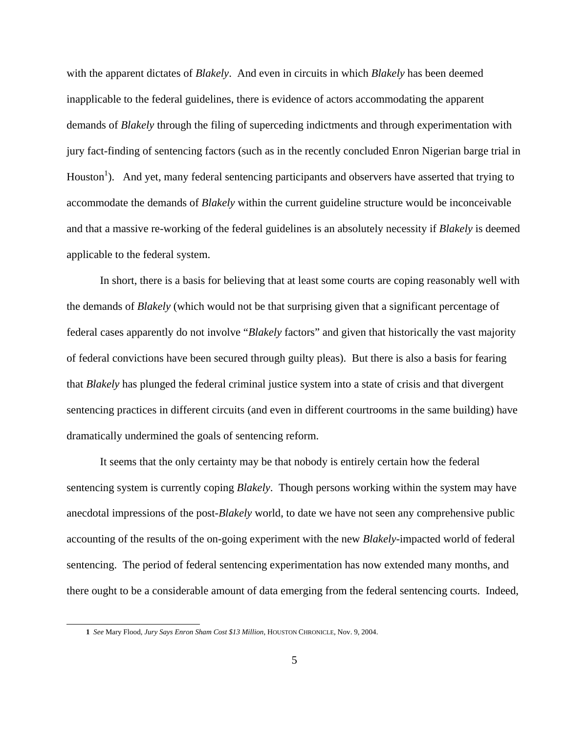with the apparent dictates of *Blakely*. And even in circuits in which *Blakely* has been deemed inapplicable to the federal guidelines, there is evidence of actors accommodating the apparent demands of *Blakely* through the filing of superceding indictments and through experimentation with jury fact-finding of sentencing factors (such as in the recently concluded Enron Nigerian barge trial in Houston<sup>1</sup>). And yet, many federal sentencing participants and observers have asserted that trying to accommodate the demands of *Blakely* within the current guideline structure would be inconceivable and that a massive re-working of the federal guidelines is an absolutely necessity if *Blakely* is deemed applicable to the federal system.

 In short, there is a basis for believing that at least some courts are coping reasonably well with the demands of *Blakely* (which would not be that surprising given that a significant percentage of federal cases apparently do not involve "*Blakely* factors" and given that historically the vast majority of federal convictions have been secured through guilty pleas). But there is also a basis for fearing that *Blakely* has plunged the federal criminal justice system into a state of crisis and that divergent sentencing practices in different circuits (and even in different courtrooms in the same building) have dramatically undermined the goals of sentencing reform.

 It seems that the only certainty may be that nobody is entirely certain how the federal sentencing system is currently coping *Blakely*. Though persons working within the system may have anecdotal impressions of the post-*Blakely* world, to date we have not seen any comprehensive public accounting of the results of the on-going experiment with the new *Blakely*-impacted world of federal sentencing. The period of federal sentencing experimentation has now extended many months, and there ought to be a considerable amount of data emerging from the federal sentencing courts. Indeed,

 $\overline{a}$ 

**<sup>1</sup>***See* Mary Flood, *Jury Says Enron Sham Cost \$13 Million*, HOUSTON CHRONICLE, Nov. 9, 2004.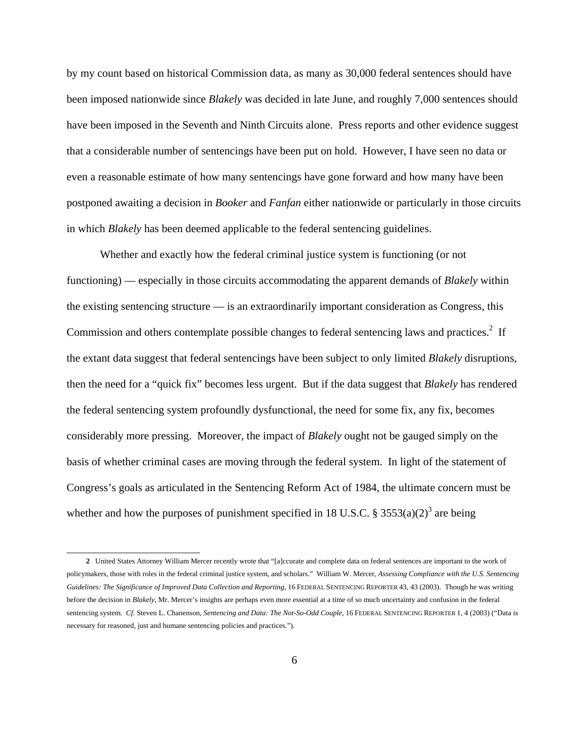by my count based on historical Commission data, as many as 30,000 federal sentences should have been imposed nationwide since *Blakely* was decided in late June, and roughly 7,000 sentences should have been imposed in the Seventh and Ninth Circuits alone. Press reports and other evidence suggest that a considerable number of sentencings have been put on hold. However, I have seen no data or even a reasonable estimate of how many sentencings have gone forward and how many have been postponed awaiting a decision in *Booker* and *Fanfan* either nationwide or particularly in those circuits in which *Blakely* has been deemed applicable to the federal sentencing guidelines.

 Whether and exactly how the federal criminal justice system is functioning (or not functioning) — especially in those circuits accommodating the apparent demands of *Blakely* within the existing sentencing structure — is an extraordinarily important consideration as Congress, this Commission and others contemplate possible changes to federal sentencing laws and practices. $\frac{2}{3}$  If the extant data suggest that federal sentencings have been subject to only limited *Blakely* disruptions, then the need for a "quick fix" becomes less urgent. But if the data suggest that *Blakely* has rendered the federal sentencing system profoundly dysfunctional, the need for some fix, any fix, becomes considerably more pressing. Moreover, the impact of *Blakely* ought not be gauged simply on the basis of whether criminal cases are moving through the federal system. In light of the statement of Congress's goals as articulated in the Sentencing Reform Act of 1984, the ultimate concern must be whether and how the purposes of punishment specified in 18 U.S.C. § 3553(a)(2)<sup>3</sup> are being

 $\overline{a}$ 

**<sup>2</sup>**United States Attorney William Mercer recently wrote that "[a]ccurate and complete data on federal sentences are important to the work of policymakers, those with roles in the federal criminal justice system, and scholars." William W. Mercer, *Assessing Compliance with the U.S. Sentencing Guidelines: The Significance of Improved Data Collection and Reporting*, 16 FEDERAL SENTENCING REPORTER 43, 43 (2003). Though he was writing before the decision in *Blakely*, Mr. Mercer's insights are perhaps even more essential at a time of so much uncertainty and confusion in the federal sentencing system. *Cf.* Steven L. Chanenson, *Sentencing and Data: The Not-So-Odd Couple*, 16 FEDERAL SENTENCING REPORTER 1, 4 (2003) ("Data is necessary for reasoned, just and humane sentencing policies and practices.").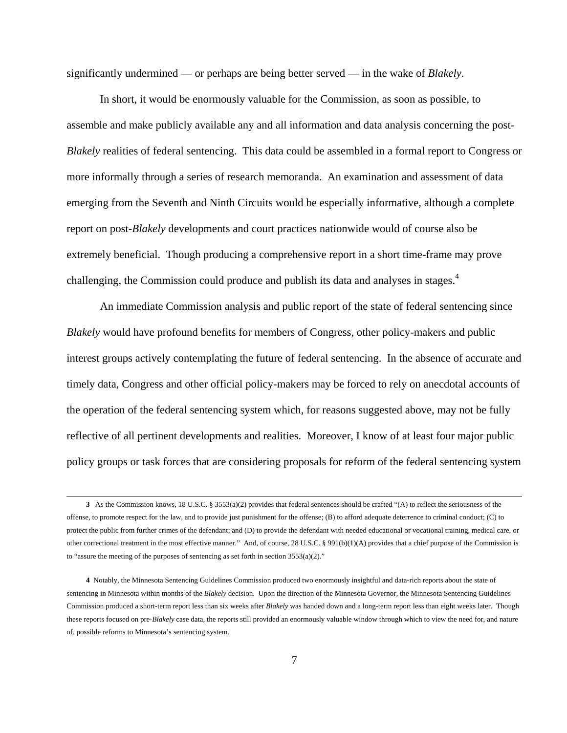significantly undermined — or perhaps are being better served — in the wake of *Blakely*.

 In short, it would be enormously valuable for the Commission, as soon as possible, to assemble and make publicly available any and all information and data analysis concerning the post-*Blakely* realities of federal sentencing. This data could be assembled in a formal report to Congress or more informally through a series of research memoranda. An examination and assessment of data emerging from the Seventh and Ninth Circuits would be especially informative, although a complete report on post-*Blakely* developments and court practices nationwide would of course also be extremely beneficial. Though producing a comprehensive report in a short time-frame may prove challenging, the Commission could produce and publish its data and analyses in stages. $4$ 

 An immediate Commission analysis and public report of the state of federal sentencing since *Blakely* would have profound benefits for members of Congress, other policy-makers and public interest groups actively contemplating the future of federal sentencing. In the absence of accurate and timely data, Congress and other official policy-makers may be forced to rely on anecdotal accounts of the operation of the federal sentencing system which, for reasons suggested above, may not be fully reflective of all pertinent developments and realities. Moreover, I know of at least four major public policy groups or task forces that are considering proposals for reform of the federal sentencing system

 $\overline{a}$ 

**<sup>3</sup>**As the Commission knows, 18 U.S.C. § 3553(a)(2) provides that federal sentences should be crafted "(A) to reflect the seriousness of the offense, to promote respect for the law, and to provide just punishment for the offense; (B) to afford adequate deterrence to criminal conduct; (C) to protect the public from further crimes of the defendant; and (D) to provide the defendant with needed educational or vocational training, medical care, or other correctional treatment in the most effective manner." And, of course, 28 U.S.C. § 991(b)(1)(A) provides that a chief purpose of the Commission is to "assure the meeting of the purposes of sentencing as set forth in section  $3553(a)(2)$ ."

**<sup>4</sup>**Notably, the Minnesota Sentencing Guidelines Commission produced two enormously insightful and data-rich reports about the state of sentencing in Minnesota within months of the *Blakely* decision. Upon the direction of the Minnesota Governor, the Minnesota Sentencing Guidelines Commission produced a short-term report less than six weeks after *Blakely* was handed down and a long-term report less than eight weeks later. Though these reports focused on pre-*Blakely* case data, the reports still provided an enormously valuable window through which to view the need for, and nature of, possible reforms to Minnesota's sentencing system.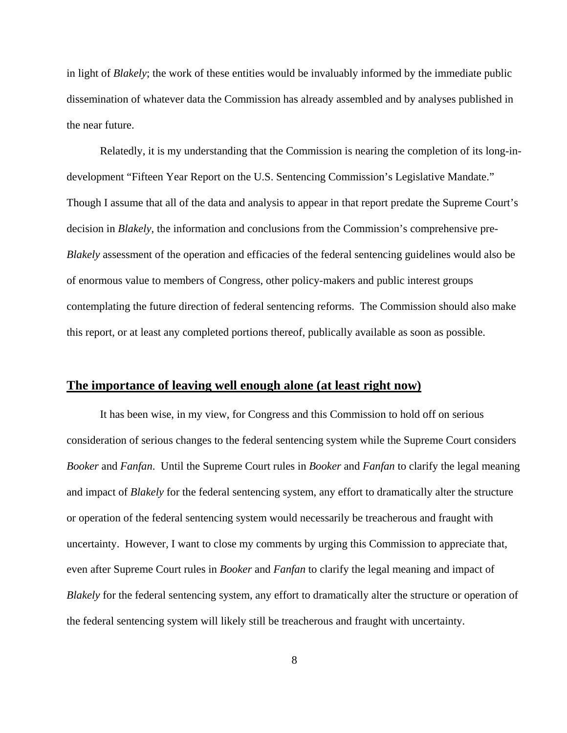in light of *Blakely*; the work of these entities would be invaluably informed by the immediate public dissemination of whatever data the Commission has already assembled and by analyses published in the near future.

 Relatedly, it is my understanding that the Commission is nearing the completion of its long-indevelopment "Fifteen Year Report on the U.S. Sentencing Commission's Legislative Mandate." Though I assume that all of the data and analysis to appear in that report predate the Supreme Court's decision in *Blakely*, the information and conclusions from the Commission's comprehensive pre-*Blakely* assessment of the operation and efficacies of the federal sentencing guidelines would also be of enormous value to members of Congress, other policy-makers and public interest groups contemplating the future direction of federal sentencing reforms. The Commission should also make this report, or at least any completed portions thereof, publically available as soon as possible.

# **The importance of leaving well enough alone (at least right now)**

 It has been wise, in my view, for Congress and this Commission to hold off on serious consideration of serious changes to the federal sentencing system while the Supreme Court considers *Booker* and *Fanfan*. Until the Supreme Court rules in *Booker* and *Fanfan* to clarify the legal meaning and impact of *Blakely* for the federal sentencing system, any effort to dramatically alter the structure or operation of the federal sentencing system would necessarily be treacherous and fraught with uncertainty. However, I want to close my comments by urging this Commission to appreciate that, even after Supreme Court rules in *Booker* and *Fanfan* to clarify the legal meaning and impact of *Blakely* for the federal sentencing system, any effort to dramatically alter the structure or operation of the federal sentencing system will likely still be treacherous and fraught with uncertainty.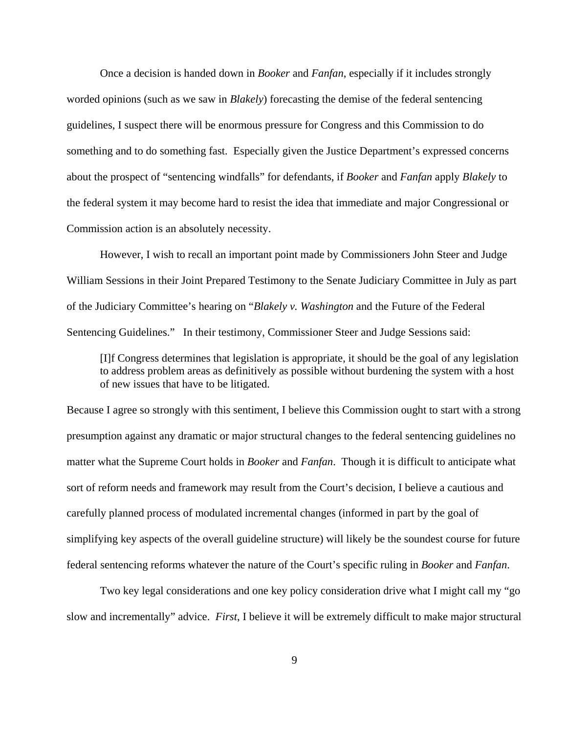Once a decision is handed down in *Booker* and *Fanfan*, especially if it includes strongly worded opinions (such as we saw in *Blakely*) forecasting the demise of the federal sentencing guidelines, I suspect there will be enormous pressure for Congress and this Commission to do something and to do something fast. Especially given the Justice Department's expressed concerns about the prospect of "sentencing windfalls" for defendants, if *Booker* and *Fanfan* apply *Blakely* to the federal system it may become hard to resist the idea that immediate and major Congressional or Commission action is an absolutely necessity.

 However, I wish to recall an important point made by Commissioners John Steer and Judge William Sessions in their Joint Prepared Testimony to the Senate Judiciary Committee in July as part of the Judiciary Committee's hearing on "*Blakely v. Washington* and the Future of the Federal Sentencing Guidelines." In their testimony, Commissioner Steer and Judge Sessions said:

[I]f Congress determines that legislation is appropriate, it should be the goal of any legislation to address problem areas as definitively as possible without burdening the system with a host of new issues that have to be litigated.

Because I agree so strongly with this sentiment, I believe this Commission ought to start with a strong presumption against any dramatic or major structural changes to the federal sentencing guidelines no matter what the Supreme Court holds in *Booker* and *Fanfan*. Though it is difficult to anticipate what sort of reform needs and framework may result from the Court's decision, I believe a cautious and carefully planned process of modulated incremental changes (informed in part by the goal of simplifying key aspects of the overall guideline structure) will likely be the soundest course for future federal sentencing reforms whatever the nature of the Court's specific ruling in *Booker* and *Fanfan*.

 Two key legal considerations and one key policy consideration drive what I might call my "go slow and incrementally" advice. *First*, I believe it will be extremely difficult to make major structural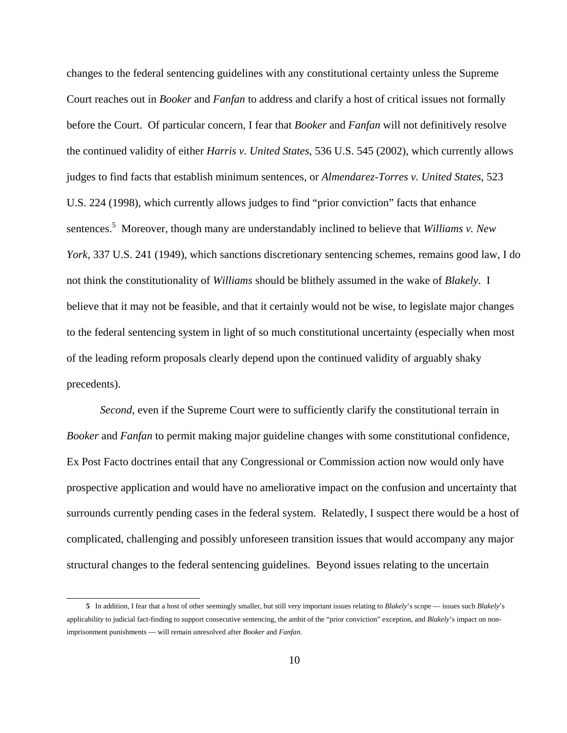changes to the federal sentencing guidelines with any constitutional certainty unless the Supreme Court reaches out in *Booker* and *Fanfan* to address and clarify a host of critical issues not formally before the Court. Of particular concern, I fear that *Booker* and *Fanfan* will not definitively resolve the continued validity of either *Harris v. United States*, 536 U.S. 545 (2002), which currently allows judges to find facts that establish minimum sentences, or *Almendarez-Torres v. United States*, 523 U.S. 224 (1998), which currently allows judges to find "prior conviction" facts that enhance sentences.5 Moreover, though many are understandably inclined to believe that *Williams v. New York,* 337 U.S. 241 (1949), which sanctions discretionary sentencing schemes, remains good law, I do not think the constitutionality of *Williams* should be blithely assumed in the wake of *Blakely*. I believe that it may not be feasible, and that it certainly would not be wise, to legislate major changes to the federal sentencing system in light of so much constitutional uncertainty (especially when most of the leading reform proposals clearly depend upon the continued validity of arguably shaky precedents).

 *Second*, even if the Supreme Court were to sufficiently clarify the constitutional terrain in *Booker* and *Fanfan* to permit making major guideline changes with some constitutional confidence, Ex Post Facto doctrines entail that any Congressional or Commission action now would only have prospective application and would have no ameliorative impact on the confusion and uncertainty that surrounds currently pending cases in the federal system. Relatedly, I suspect there would be a host of complicated, challenging and possibly unforeseen transition issues that would accompany any major structural changes to the federal sentencing guidelines. Beyond issues relating to the uncertain

 $\overline{a}$  **<sup>5</sup>**In addition, I fear that a host of other seemingly smaller, but still very important issues relating to *Blakely*'s scope — issues such *Blakely*'s applicability to judicial fact-finding to support consecutive sentencing, the ambit of the "prior conviction" exception, and *Blakely*'s impact on nonimprisonment punishments — will remain unresolved after *Booker* and *Fanfan*.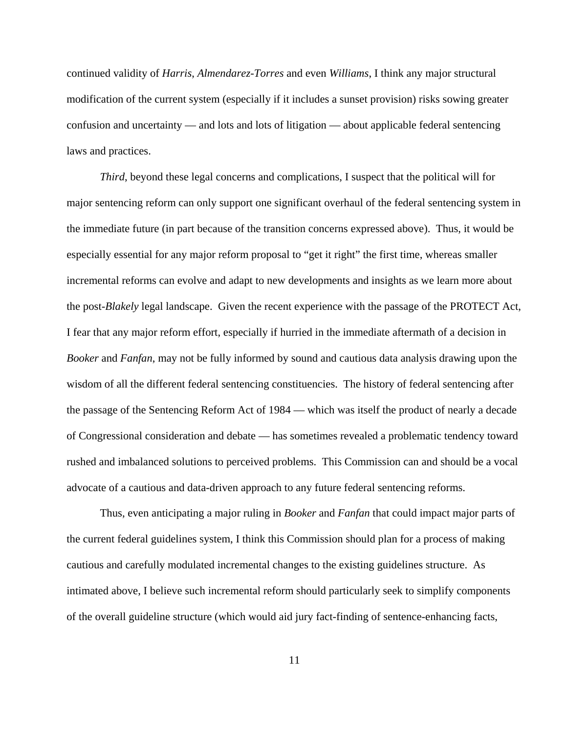continued validity of *Harris*, *Almendarez-Torres* and even *Williams*, I think any major structural modification of the current system (especially if it includes a sunset provision) risks sowing greater confusion and uncertainty — and lots and lots of litigation — about applicable federal sentencing laws and practices.

*Third*, beyond these legal concerns and complications, I suspect that the political will for major sentencing reform can only support one significant overhaul of the federal sentencing system in the immediate future (in part because of the transition concerns expressed above). Thus, it would be especially essential for any major reform proposal to "get it right" the first time, whereas smaller incremental reforms can evolve and adapt to new developments and insights as we learn more about the post-*Blakely* legal landscape. Given the recent experience with the passage of the PROTECT Act, I fear that any major reform effort, especially if hurried in the immediate aftermath of a decision in *Booker* and *Fanfan*, may not be fully informed by sound and cautious data analysis drawing upon the wisdom of all the different federal sentencing constituencies. The history of federal sentencing after the passage of the Sentencing Reform Act of 1984 — which was itself the product of nearly a decade of Congressional consideration and debate — has sometimes revealed a problematic tendency toward rushed and imbalanced solutions to perceived problems. This Commission can and should be a vocal advocate of a cautious and data-driven approach to any future federal sentencing reforms.

 Thus, even anticipating a major ruling in *Booker* and *Fanfan* that could impact major parts of the current federal guidelines system, I think this Commission should plan for a process of making cautious and carefully modulated incremental changes to the existing guidelines structure. As intimated above, I believe such incremental reform should particularly seek to simplify components of the overall guideline structure (which would aid jury fact-finding of sentence-enhancing facts,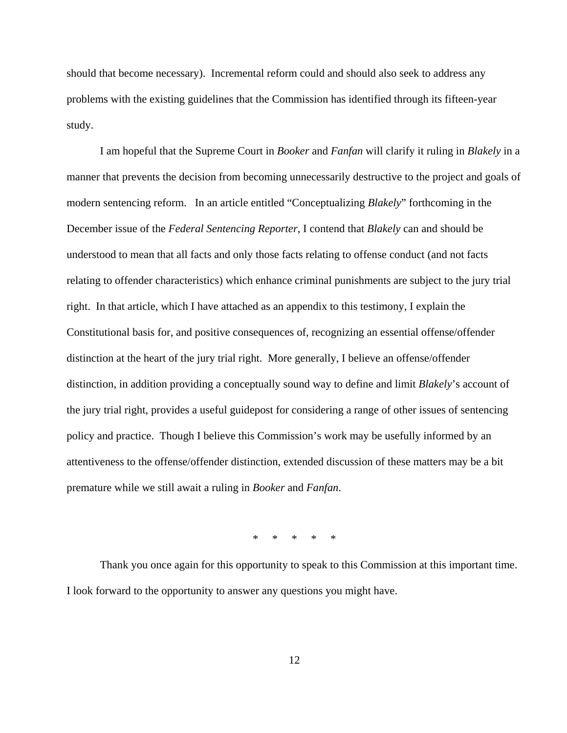should that become necessary). Incremental reform could and should also seek to address any problems with the existing guidelines that the Commission has identified through its fifteen-year study.

 I am hopeful that the Supreme Court in *Booker* and *Fanfan* will clarify it ruling in *Blakely* in a manner that prevents the decision from becoming unnecessarily destructive to the project and goals of modern sentencing reform. In an article entitled "Conceptualizing *Blakely*" forthcoming in the December issue of the *Federal Sentencing Reporter*, I contend that *Blakely* can and should be understood to mean that all facts and only those facts relating to offense conduct (and not facts relating to offender characteristics) which enhance criminal punishments are subject to the jury trial right. In that article, which I have attached as an appendix to this testimony, I explain the Constitutional basis for, and positive consequences of, recognizing an essential offense/offender distinction at the heart of the jury trial right. More generally, I believe an offense/offender distinction, in addition providing a conceptually sound way to define and limit *Blakely*'s account of the jury trial right, provides a useful guidepost for considering a range of other issues of sentencing policy and practice. Though I believe this Commission's work may be usefully informed by an attentiveness to the offense/offender distinction, extended discussion of these matters may be a bit premature while we still await a ruling in *Booker* and *Fanfan*.

\* \* \* \* \*

 Thank you once again for this opportunity to speak to this Commission at this important time. I look forward to the opportunity to answer any questions you might have.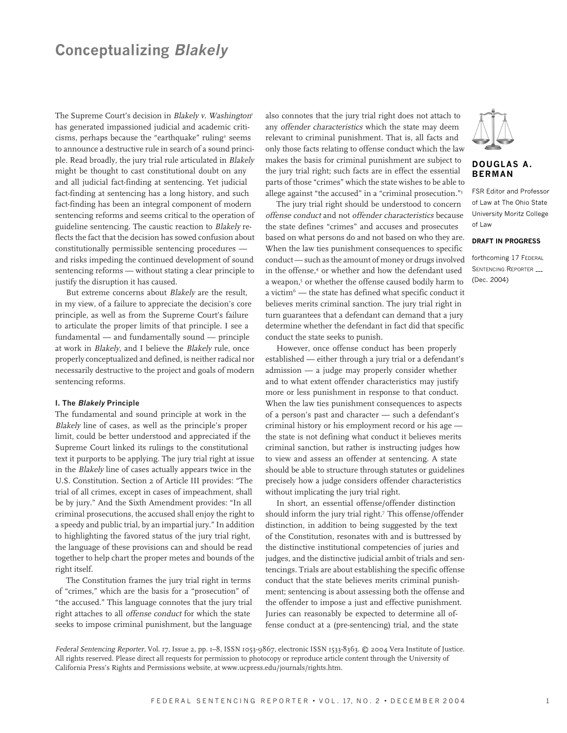# **Conceptualizing Blakely**

The Supreme Court's decision in Blakely v. Washington<sup>1</sup> has generated impassioned judicial and academic criticisms, perhaps because the "earthquake" ruling<sup>2</sup> seems to announce a destructive rule in search of a sound principle. Read broadly, the jury trial rule articulated in Blakely might be thought to cast constitutional doubt on any and all judicial fact-finding at sentencing. Yet judicial fact-finding at sentencing has a long history, and such fact-finding has been an integral component of modern sentencing reforms and seems critical to the operation of guideline sentencing. The caustic reaction to Blakely reflects the fact that the decision has sowed confusion about constitutionally permissible sentencing procedures and risks impeding the continued development of sound sentencing reforms — without stating a clear principle to justify the disruption it has caused.

But extreme concerns about Blakely are the result, in my view, of a failure to appreciate the decision's core principle, as well as from the Supreme Court's failure to articulate the proper limits of that principle. I see a fundamental — and fundamentally sound — principle at work in Blakely, and I believe the Blakely rule, once properly conceptualized and defined, is neither radical nor necessarily destructive to the project and goals of modern sentencing reforms.

## **I. The Blakely Principle**

The fundamental and sound principle at work in the Blakely line of cases, as well as the principle's proper limit, could be better understood and appreciated if the Supreme Court linked its rulings to the constitutional text it purports to be applying. The jury trial right at issue in the Blakely line of cases actually appears twice in the U.S. Constitution. Section 2 of Article III provides: "The trial of all crimes, except in cases of impeachment, shall be by jury." And the Sixth Amendment provides: "In all criminal prosecutions, the accused shall enjoy the right to a speedy and public trial, by an impartial jury." In addition to highlighting the favored status of the jury trial right, the language of these provisions can and should be read together to help chart the proper metes and bounds of the right itself.

The Constitution frames the jury trial right in terms of "crimes," which are the basis for a "prosecution" of "the accused." This language connotes that the jury trial right attaches to all offense conduct for which the state seeks to impose criminal punishment, but the language also connotes that the jury trial right does not attach to any offender characteristics which the state may deem relevant to criminal punishment. That is, all facts and only those facts relating to offense conduct which the law makes the basis for criminal punishment are subject to the jury trial right; such facts are in effect the essential parts of those "crimes" which the state wishes to be able to allege against "the accused" in a "criminal prosecution."3

The jury trial right should be understood to concern offense conduct and not offender characteristics because the state defines "crimes" and accuses and prosecutes based on what persons do and not based on who they are. When the law ties punishment consequences to specific conduct — such as the amount of money or drugs involved in the offense,<sup>4</sup> or whether and how the defendant used a weapon,<sup>5</sup> or whether the offense caused bodily harm to a victim $6$  — the state has defined what specific conduct it believes merits criminal sanction. The jury trial right in turn guarantees that a defendant can demand that a jury determine whether the defendant in fact did that specific conduct the state seeks to punish.

However, once offense conduct has been properly established — either through a jury trial or a defendant's admission — a judge may properly consider whether and to what extent offender characteristics may justify more or less punishment in response to that conduct. When the law ties punishment consequences to aspects of a person's past and character — such a defendant's criminal history or his employment record or his age the state is not defining what conduct it believes merits criminal sanction, but rather is instructing judges how to view and assess an offender at sentencing. A state should be able to structure through statutes or guidelines precisely how a judge considers offender characteristics without implicating the jury trial right.

In short, an essential offense/offender distinction should inform the jury trial right.7 This offense/offender distinction, in addition to being suggested by the text of the Constitution, resonates with and is buttressed by the distinctive institutional competencies of juries and judges, and the distinctive judicial ambit of trials and sentencings. Trials are about establishing the specific offense conduct that the state believes merits criminal punishment; sentencing is about assessing both the offense and the offender to impose a just and effective punishment. Juries can reasonably be expected to determine all offense conduct at a (pre-sentencing) trial, and the state



## **DOUGLAS A. BERMAN**

FSR Editor and Professor of Law at The Ohio State University Moritz College of Law

## **DRAFT IN PROGRESS**

forthcoming 17 FEDERAL SENTENCING REPORTER \_\_ (Dec. 2004)

Federal Sentencing Reporter, Vol. 17, Issue 2, pp. 1–8, ISSN 1053-9867, electronic ISSN 1533-8363. © 2004 Vera Institute of Justice. All rights reserved. Please direct all requests for permission to photocopy or reproduce article content through the University of California Press's Rights and Permissions website, at www.ucpress.edu/journals/rights.htm.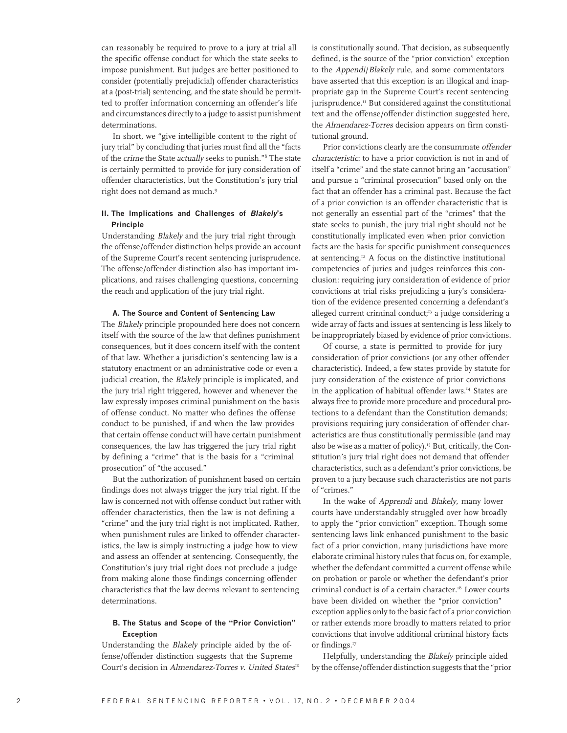can reasonably be required to prove to a jury at trial all the specific offense conduct for which the state seeks to impose punishment. But judges are better positioned to consider (potentially prejudicial) offender characteristics at a (post-trial) sentencing, and the state should be permitted to proffer information concerning an offender's life and circumstances directly to a judge to assist punishment determinations.

In short, we "give intelligible content to the right of jury trial" by concluding that juries must find all the "facts of the crime the State actually seeks to punish."8 The state is certainly permitted to provide for jury consideration of offender characteristics, but the Constitution's jury trial right does not demand as much.<sup>9</sup>

# **II. The Implications and Challenges of Blakely's Principle**

Understanding Blakely and the jury trial right through the offense/offender distinction helps provide an account of the Supreme Court's recent sentencing jurisprudence. The offense/offender distinction also has important implications, and raises challenging questions, concerning the reach and application of the jury trial right.

#### **A. The Source and Content of Sentencing Law**

The Blakely principle propounded here does not concern itself with the source of the law that defines punishment consequences, but it does concern itself with the content of that law. Whether a jurisdiction's sentencing law is a statutory enactment or an administrative code or even a judicial creation, the Blakely principle is implicated, and the jury trial right triggered, however and whenever the law expressly imposes criminal punishment on the basis of offense conduct. No matter who defines the offense conduct to be punished, if and when the law provides that certain offense conduct will have certain punishment consequences, the law has triggered the jury trial right by defining a "crime" that is the basis for a "criminal prosecution" of "the accused."

But the authorization of punishment based on certain findings does not always trigger the jury trial right. If the law is concerned not with offense conduct but rather with offender characteristics, then the law is not defining a "crime" and the jury trial right is not implicated. Rather, when punishment rules are linked to offender characteristics, the law is simply instructing a judge how to view and assess an offender at sentencing. Consequently, the Constitution's jury trial right does not preclude a judge from making alone those findings concerning offender characteristics that the law deems relevant to sentencing determinations.

### **B. The Status and Scope of the "Prior Conviction" Exception**

Understanding the Blakely principle aided by the offense/offender distinction suggests that the Supreme Court's decision in Almendarez-Torres v. United States<sup>10</sup> is constitutionally sound. That decision, as subsequently defined, is the source of the "prior conviction" exception to the Appendi/Blakely rule, and some commentators have asserted that this exception is an illogical and inappropriate gap in the Supreme Court's recent sentencing jurisprudence.<sup>11</sup> But considered against the constitutional text and the offense/offender distinction suggested here, the Almendarez-Torres decision appears on firm constitutional ground.

Prior convictions clearly are the consummate offender characteristic: to have a prior conviction is not in and of itself a "crime" and the state cannot bring an "accusation" and pursue a "criminal prosecution" based only on the fact that an offender has a criminal past. Because the fact of a prior conviction is an offender characteristic that is not generally an essential part of the "crimes" that the state seeks to punish, the jury trial right should not be constitutionally implicated even when prior conviction facts are the basis for specific punishment consequences at sentencing.<sup>12</sup> A focus on the distinctive institutional competencies of juries and judges reinforces this conclusion: requiring jury consideration of evidence of prior convictions at trial risks prejudicing a jury's consideration of the evidence presented concerning a defendant's alleged current criminal conduct;<sup>13</sup> a judge considering a wide array of facts and issues at sentencing is less likely to be inappropriately biased by evidence of prior convictions.

Of course, a state is permitted to provide for jury consideration of prior convictions (or any other offender characteristic). Indeed, a few states provide by statute for jury consideration of the existence of prior convictions in the application of habitual offender laws.<sup>14</sup> States are always free to provide more procedure and procedural protections to a defendant than the Constitution demands; provisions requiring jury consideration of offender characteristics are thus constitutionally permissible (and may also be wise as a matter of policy).<sup>15</sup> But, critically, the Constitution's jury trial right does not demand that offender characteristics, such as a defendant's prior convictions, be proven to a jury because such characteristics are not parts of "crimes."

In the wake of Apprendi and Blakely, many lower courts have understandably struggled over how broadly to apply the "prior conviction" exception. Though some sentencing laws link enhanced punishment to the basic fact of a prior conviction, many jurisdictions have more elaborate criminal history rules that focus on, for example, whether the defendant committed a current offense while on probation or parole or whether the defendant's prior criminal conduct is of a certain character.<sup>16</sup> Lower courts have been divided on whether the "prior conviction" exception applies only to the basic fact of a prior conviction or rather extends more broadly to matters related to prior convictions that involve additional criminal history facts or findings.<sup>17</sup>

Helpfully, understanding the Blakely principle aided by the offense/offender distinction suggests that the "prior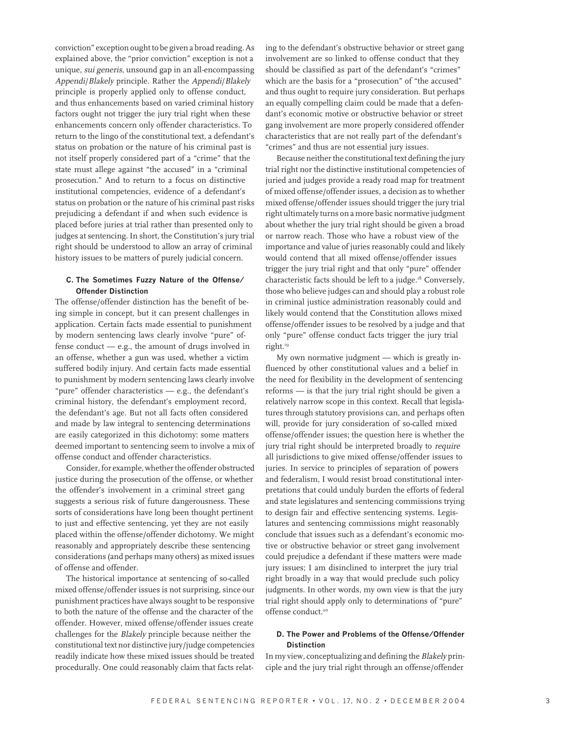conviction" exception ought to be given a broad reading. As explained above, the "prior conviction" exception is not a unique, sui generis, unsound gap in an all-encompassing Appendi/Blakely principle. Rather the Appendi/Blakely principle is properly applied only to offense conduct, and thus enhancements based on varied criminal history factors ought not trigger the jury trial right when these enhancements concern only offender characteristics. To return to the lingo of the constitutional text, a defendant's status on probation or the nature of his criminal past is not itself properly considered part of a "crime" that the state must allege against "the accused" in a "criminal prosecution." And to return to a focus on distinctive institutional competencies, evidence of a defendant's status on probation or the nature of his criminal past risks prejudicing a defendant if and when such evidence is placed before juries at trial rather than presented only to judges at sentencing. In short, the Constitution's jury trial right should be understood to allow an array of criminal history issues to be matters of purely judicial concern.

# **C. The Sometimes Fuzzy Nature of the Offense/ Offender Distinction**

The offense/offender distinction has the benefit of being simple in concept, but it can present challenges in application. Certain facts made essential to punishment by modern sentencing laws clearly involve "pure" offense conduct — e.g., the amount of drugs involved in an offense, whether a gun was used, whether a victim suffered bodily injury. And certain facts made essential to punishment by modern sentencing laws clearly involve "pure" offender characteristics — e.g., the defendant's criminal history, the defendant's employment record, the defendant's age. But not all facts often considered and made by law integral to sentencing determinations are easily categorized in this dichotomy: some matters deemed important to sentencing seem to involve a mix of offense conduct and offender characteristics.

Consider, for example, whether the offender obstructed justice during the prosecution of the offense, or whether the offender's involvement in a criminal street gang suggests a serious risk of future dangerousness. These sorts of considerations have long been thought pertinent to just and effective sentencing, yet they are not easily placed within the offense/offender dichotomy. We might reasonably and appropriately describe these sentencing considerations (and perhaps many others) as mixed issues of offense and offender.

The historical importance at sentencing of so-called mixed offense/offender issues is not surprising, since our punishment practices have always sought to be responsive to both the nature of the offense and the character of the offender. However, mixed offense/offender issues create challenges for the Blakely principle because neither the constitutional text nor distinctive jury/judge competencies readily indicate how these mixed issues should be treated procedurally. One could reasonably claim that facts relating to the defendant's obstructive behavior or street gang involvement are so linked to offense conduct that they should be classified as part of the defendant's "crimes" which are the basis for a "prosecution" of "the accused" and thus ought to require jury consideration. But perhaps an equally compelling claim could be made that a defendant's economic motive or obstructive behavior or street gang involvement are more properly considered offender characteristics that are not really part of the defendant's "crimes" and thus are not essential jury issues.

Because neither the constitutional text defining the jury trial right nor the distinctive institutional competencies of juried and judges provide a ready road map for treatment of mixed offense/offender issues, a decision as to whether mixed offense/offender issues should trigger the jury trial right ultimately turns on a more basic normative judgment about whether the jury trial right should be given a broad or narrow reach. Those who have a robust view of the importance and value of juries reasonably could and likely would contend that all mixed offense/offender issues trigger the jury trial right and that only "pure" offender characteristic facts should be left to a judge.18 Conversely, those who believe judges can and should play a robust role in criminal justice administration reasonably could and likely would contend that the Constitution allows mixed offense/offender issues to be resolved by a judge and that only "pure" offense conduct facts trigger the jury trial right.<sup>19</sup>

My own normative judgment — which is greatly influenced by other constitutional values and a belief in the need for flexibility in the development of sentencing reforms — is that the jury trial right should be given a relatively narrow scope in this context. Recall that legislatures through statutory provisions can, and perhaps often will, provide for jury consideration of so-called mixed offense/offender issues; the question here is whether the jury trial right should be interpreted broadly to require all jurisdictions to give mixed offense/offender issues to juries. In service to principles of separation of powers and federalism, I would resist broad constitutional interpretations that could unduly burden the efforts of federal and state legislatures and sentencing commissions trying to design fair and effective sentencing systems. Legislatures and sentencing commissions might reasonably conclude that issues such as a defendant's economic motive or obstructive behavior or street gang involvement could prejudice a defendant if these matters were made jury issues; I am disinclined to interpret the jury trial right broadly in a way that would preclude such policy judgments. In other words, my own view is that the jury trial right should apply only to determinations of "pure" offense conduct.<sup>20</sup>

# **D. The Power and Problems of the Offense/Offender Distinction**

In my view, conceptualizing and defining the Blakely principle and the jury trial right through an offense/offender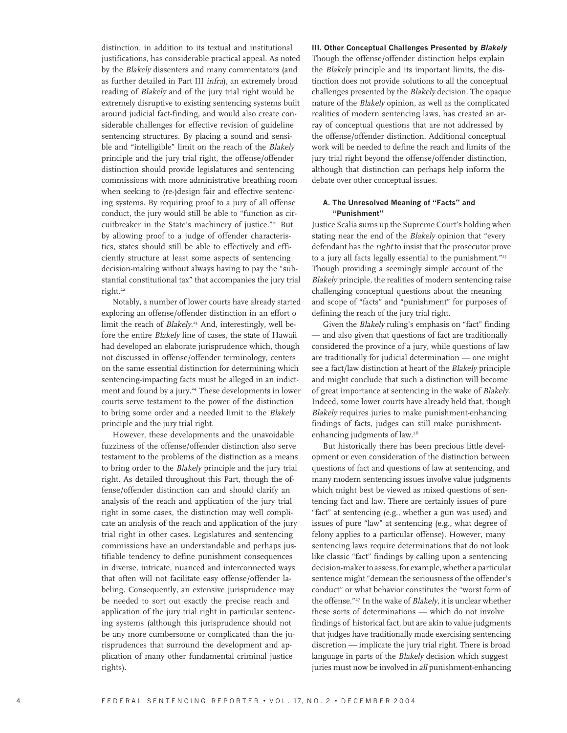distinction, in addition to its textual and institutional justifications, has considerable practical appeal. As noted by the Blakely dissenters and many commentators (and as further detailed in Part III infra), an extremely broad reading of Blakely and of the jury trial right would be extremely disruptive to existing sentencing systems built around judicial fact-finding, and would also create considerable challenges for effective revision of guideline sentencing structures. By placing a sound and sensible and "intelligible" limit on the reach of the Blakely principle and the jury trial right, the offense/offender distinction should provide legislatures and sentencing commissions with more administrative breathing room when seeking to (re-)design fair and effective sentencing systems. By requiring proof to a jury of all offense conduct, the jury would still be able to "function as circuitbreaker in the State's machinery of justice."<sup>21</sup> But by allowing proof to a judge of offender characteristics, states should still be able to effectively and efficiently structure at least some aspects of sentencing decision-making without always having to pay the "substantial constitutional tax" that accompanies the jury trial right.<sup>22</sup>

Notably, a number of lower courts have already started exploring an offense/offender distinction in an effort o limit the reach of *Blakely*.<sup>23</sup> And, interestingly, well before the entire Blakely line of cases, the state of Hawaii had developed an elaborate jurisprudence which, though not discussed in offense/offender terminology, centers on the same essential distinction for determining which sentencing-impacting facts must be alleged in an indictment and found by a jury.<sup>24</sup> These developments in lower courts serve testament to the power of the distinction to bring some order and a needed limit to the Blakely principle and the jury trial right.

However, these developments and the unavoidable fuzziness of the offense/offender distinction also serve testament to the problems of the distinction as a means to bring order to the Blakely principle and the jury trial right. As detailed throughout this Part, though the offense/offender distinction can and should clarify an analysis of the reach and application of the jury trial right in some cases, the distinction may well complicate an analysis of the reach and application of the jury trial right in other cases. Legislatures and sentencing commissions have an understandable and perhaps justifiable tendency to define punishment consequences in diverse, intricate, nuanced and interconnected ways that often will not facilitate easy offense/offender labeling. Consequently, an extensive jurisprudence may be needed to sort out exactly the precise reach and application of the jury trial right in particular sentencing systems (although this jurisprudence should not be any more cumbersome or complicated than the jurisprudences that surround the development and application of many other fundamental criminal justice rights).

**III. Other Conceptual Challenges Presented by Blakely** Though the offense/offender distinction helps explain the Blakely principle and its important limits, the distinction does not provide solutions to all the conceptual challenges presented by the Blakely decision. The opaque nature of the Blakely opinion, as well as the complicated realities of modern sentencing laws, has created an array of conceptual questions that are not addressed by the offense/offender distinction. Additional conceptual work will be needed to define the reach and limits of the jury trial right beyond the offense/offender distinction, although that distinction can perhaps help inform the debate over other conceptual issues.

## **A. The Unresolved Meaning of "Facts" and "Punishment"**

Justice Scalia sums up the Supreme Court's holding when stating near the end of the Blakely opinion that "every defendant has the *right* to insist that the prosecutor prove to a jury all facts legally essential to the punishment."<sup>25</sup> Though providing a seemingly simple account of the Blakely principle, the realities of modern sentencing raise challenging conceptual questions about the meaning and scope of "facts" and "punishment" for purposes of defining the reach of the jury trial right.

Given the Blakely ruling's emphasis on "fact" finding — and also given that questions of fact are traditionally considered the province of a jury, while questions of law are traditionally for judicial determination — one might see a fact/law distinction at heart of the Blakely principle and might conclude that such a distinction will become of great importance at sentencing in the wake of Blakely. Indeed, some lower courts have already held that, though Blakely requires juries to make punishment-enhancing findings of facts, judges can still make punishmentenhancing judgments of law.<sup>26</sup>

But historically there has been precious little development or even consideration of the distinction between questions of fact and questions of law at sentencing, and many modern sentencing issues involve value judgments which might best be viewed as mixed questions of sentencing fact and law. There are certainly issues of pure "fact" at sentencing (e.g., whether a gun was used) and issues of pure "law" at sentencing (e.g., what degree of felony applies to a particular offense). However, many sentencing laws require determinations that do not look like classic "fact" findings by calling upon a sentencing decision-maker to assess, for example, whether a particular sentence might "demean the seriousness of the offender's conduct" or what behavior constitutes the "worst form of the offense."<sup>27</sup> In the wake of *Blakely*, it is unclear whether these sorts of determinations — which do not involve findings of historical fact, but are akin to value judgments that judges have traditionally made exercising sentencing discretion — implicate the jury trial right. There is broad language in parts of the Blakely decision which suggest juries must now be involved in all punishment-enhancing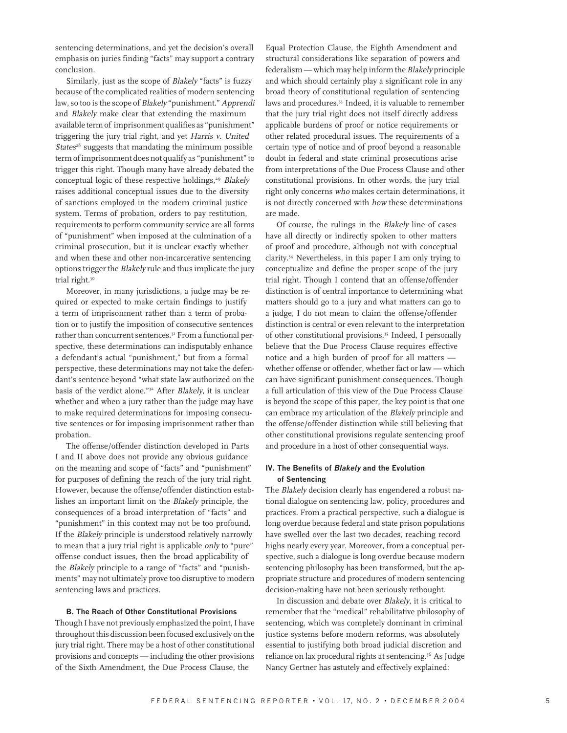sentencing determinations, and yet the decision's overall emphasis on juries finding "facts" may support a contrary conclusion.

Similarly, just as the scope of Blakely "facts" is fuzzy because of the complicated realities of modern sentencing law, so too is the scope of Blakely "punishment." Apprendi and Blakely make clear that extending the maximum available term of imprisonment qualifies as "punishment" triggering the jury trial right, and yet Harris v. United  $States<sup>28</sup> suggests that mandating the minimum possible$ term of imprisonment does not qualify as "punishment" to trigger this right. Though many have already debated the conceptual logic of these respective holdings,<sup>29</sup> Blakely raises additional conceptual issues due to the diversity of sanctions employed in the modern criminal justice system. Terms of probation, orders to pay restitution, requirements to perform community service are all forms of "punishment" when imposed at the culmination of a criminal prosecution, but it is unclear exactly whether and when these and other non-incarcerative sentencing options trigger the Blakely rule and thus implicate the jury trial right.<sup>30</sup>

Moreover, in many jurisdictions, a judge may be required or expected to make certain findings to justify a term of imprisonment rather than a term of probation or to justify the imposition of consecutive sentences rather than concurrent sentences.<sup>31</sup> From a functional perspective, these determinations can indisputably enhance a defendant's actual "punishment," but from a formal perspective, these determinations may not take the defendant's sentence beyond "what state law authorized on the basis of the verdict alone."32 After Blakely, it is unclear whether and when a jury rather than the judge may have to make required determinations for imposing consecutive sentences or for imposing imprisonment rather than probation.

The offense/offender distinction developed in Parts I and II above does not provide any obvious guidance on the meaning and scope of "facts" and "punishment" for purposes of defining the reach of the jury trial right. However, because the offense/offender distinction establishes an important limit on the Blakely principle, the consequences of a broad interpretation of "facts" and "punishment" in this context may not be too profound. If the Blakely principle is understood relatively narrowly to mean that a jury trial right is applicable only to "pure" offense conduct issues, then the broad applicability of the Blakely principle to a range of "facts" and "punishments" may not ultimately prove too disruptive to modern sentencing laws and practices.

# **B. The Reach of Other Constitutional Provisions**

Though I have not previously emphasized the point, I have throughout this discussion been focused exclusively on the jury trial right. There may be a host of other constitutional provisions and concepts — including the other provisions of the Sixth Amendment, the Due Process Clause, the

Equal Protection Clause, the Eighth Amendment and structural considerations like separation of powers and federalism — which may help inform the Blakely principle and which should certainly play a significant role in any broad theory of constitutional regulation of sentencing laws and procedures.33 Indeed, it is valuable to remember that the jury trial right does not itself directly address applicable burdens of proof or notice requirements or other related procedural issues. The requirements of a certain type of notice and of proof beyond a reasonable doubt in federal and state criminal prosecutions arise from interpretations of the Due Process Clause and other constitutional provisions. In other words, the jury trial right only concerns who makes certain determinations, it is not directly concerned with how these determinations are made.

Of course, the rulings in the Blakely line of cases have all directly or indirectly spoken to other matters of proof and procedure, although not with conceptual clarity.34 Nevertheless, in this paper I am only trying to conceptualize and define the proper scope of the jury trial right. Though I contend that an offense/offender distinction is of central importance to determining what matters should go to a jury and what matters can go to a judge, I do not mean to claim the offense/offender distinction is central or even relevant to the interpretation of other constitutional provisions.<sup>35</sup> Indeed, I personally believe that the Due Process Clause requires effective notice and a high burden of proof for all matters whether offense or offender, whether fact or law — which can have significant punishment consequences. Though a full articulation of this view of the Due Process Clause is beyond the scope of this paper, the key point is that one can embrace my articulation of the Blakely principle and the offense/offender distinction while still believing that other constitutional provisions regulate sentencing proof and procedure in a host of other consequential ways.

# **IV. The Benefits of Blakely and the Evolution of Sentencing**

The Blakely decision clearly has engendered a robust national dialogue on sentencing law, policy, procedures and practices. From a practical perspective, such a dialogue is long overdue because federal and state prison populations have swelled over the last two decades, reaching record highs nearly every year. Moreover, from a conceptual perspective, such a dialogue is long overdue because modern sentencing philosophy has been transformed, but the appropriate structure and procedures of modern sentencing decision-making have not been seriously rethought.

In discussion and debate over Blakely, it is critical to remember that the "medical" rehabilitative philosophy of sentencing, which was completely dominant in criminal justice systems before modern reforms, was absolutely essential to justifying both broad judicial discretion and reliance on lax procedural rights at sentencing.<sup>36</sup> As Judge Nancy Gertner has astutely and effectively explained: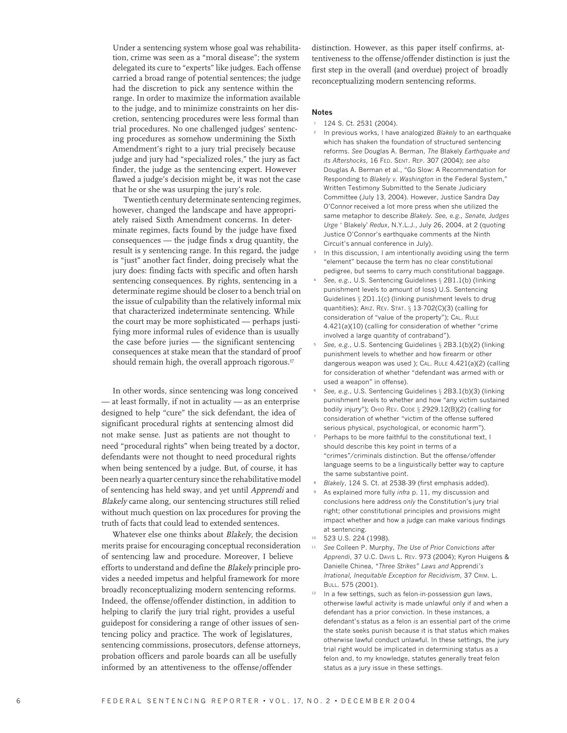Under a sentencing system whose goal was rehabilitation, crime was seen as a "moral disease"; the system delegated its cure to "experts" like judges. Each offense carried a broad range of potential sentences; the judge had the discretion to pick any sentence within the range. In order to maximize the information available to the judge, and to minimize constraints on her discretion, sentencing procedures were less formal than trial procedures. No one challenged judges' sentencing procedures as somehow undermining the Sixth Amendment's right to a jury trial precisely because judge and jury had "specialized roles," the jury as fact finder, the judge as the sentencing expert. However flawed a judge's decision might be, it was not the case that he or she was usurping the jury's role.

Twentieth century determinate sentencing regimes, however, changed the landscape and have appropriately raised Sixth Amendment concerns. In determinate regimes, facts found by the judge have fixed consequences — the judge finds x drug quantity, the result is y sentencing range. In this regard, the judge is "just" another fact finder, doing precisely what the jury does: finding facts with specific and often harsh sentencing consequences. By rights, sentencing in a determinate regime should be closer to a bench trial on the issue of culpability than the relatively informal mix that characterized indeterminate sentencing. While the court may be more sophisticated — perhaps justifying more informal rules of evidence than is usually the case before juries — the significant sentencing consequences at stake mean that the standard of proof should remain high, the overall approach rigorous.<sup>37</sup>

In other words, since sentencing was long conceived — at least formally, if not in actuality — as an enterprise designed to help "cure" the sick defendant, the idea of significant procedural rights at sentencing almost did not make sense. Just as patients are not thought to need "procedural rights" when being treated by a doctor, defendants were not thought to need procedural rights when being sentenced by a judge. But, of course, it has been nearly a quarter century since the rehabilitative model of sentencing has held sway, and yet until Apprendi and Blakely came along, our sentencing structures still relied without much question on lax procedures for proving the truth of facts that could lead to extended sentences.

Whatever else one thinks about Blakely, the decision merits praise for encouraging conceptual reconsideration of sentencing law and procedure. Moreover, I believe efforts to understand and define the Blakely principle provides a needed impetus and helpful framework for more broadly reconceptualizing modern sentencing reforms. Indeed, the offense/offender distinction, in addition to helping to clarify the jury trial right, provides a useful guidepost for considering a range of other issues of sentencing policy and practice. The work of legislatures, sentencing commissions, prosecutors, defense attorneys, probation officers and parole boards can all be usefully informed by an attentiveness to the offense/offender

distinction. However, as this paper itself confirms, attentiveness to the offense/offender distinction is just the first step in the overall (and overdue) project of broadly reconceptualizing modern sentencing reforms.

#### **Notes**

- <sup>1</sup> 124 S. Ct. 2531 (2004).
- <sup>2</sup> In previous works, I have analogized *Blakely* to an earthquake which has shaken the foundation of structured sentencing reforms. *See* Douglas A. Berman, *The* Blakely *Earthquake and its Aftershocks*, 16 FED. SENT. REP. 307 (2004); *see also* Douglas A. Berman et al., "Go Slow: A Recommendation for Responding to *Blakely v. Washington* in the Federal System," Written Testimony Submitted to the Senate Judiciary Committee (July 13, 2004). However, Justice Sandra Day O'Connor received a lot more press when she utilized the same metaphor to describe *Blakely. See, e.g., Senate, Judges Urge '* Blakely' *Redux*, N.Y.L.J., July 26, 2004, at 2 (quoting Justice O'Connor's earthquake comments at the Ninth Circuit's annual conference in July).
- In this discussion, I am intentionally avoiding using the term "element" because the term has no clear constitutional pedigree, but seems to carry much constitutional baggage.
- See, e.g., U.S. Sentencing Guidelines § 2B1.1(b) (linking punishment levels to amount of loss) U.S. Sentencing Guidelines § 2D1.1(c) (linking punishment levels to drug quantities); ARIZ. REV. STAT. § 13-702(C)(3) (calling for consideration of "value of the property"); CAL. RULE 4.421(a)(10) (calling for consideration of whether "crime involved a large quantity of contraband").
- <sup>5</sup> *See, e.g.*, U.S. Sentencing Guidelines § 2B3.1(b)(2) (linking punishment levels to whether and how firearm or other dangerous weapon was used ); CAL. RULE 4.421(a)(2) (calling for consideration of whether "defendant was armed with or used a weapon" in offense).
- <sup>6</sup> *See, e.g.*, U.S. Sentencing Guidelines § 2B3.1(b)(3) (linking punishment levels to whether and how "any victim sustained bodily injury"); OHIO REV. CODE § 2929.12(B)(2) (calling for consideration of whether "victim of the offense suffered serious physical, psychological, or economic harm").
- Perhaps to be more faithful to the constitutional text, I should describe this key point in terms of a "crimes"/criminals distinction. But the offense/offender language seems to be a linguistically better way to capture the same substantive point.
- <sup>8</sup> *Blakely*, 124 S. Ct. at 2538-39 (first emphasis added).
- <sup>9</sup> As explained more fully *infra* p. 11, my discussion and conclusions here address *only* the Constitution's jury trial right; other constitutional principles and provisions might impact whether and how a judge can make various findings at sentencing.
- 523 U.S. 224 (1998).
- <sup>11</sup> *See* Colleen P. Murphy, *The Use of Prior Convictions after Apprendi*, 37 U.C. DAVIS L. REV. 973 (2004); Kyron Huigens & Danielle Chinea, *"Three Strikes" Laws and* Apprendi*'s Irrational, Inequitable Exception for Recidivism*, 37 CRIM. L. BULL. 575 (2001).
- <sup>12</sup> In a few settings, such as felon-in-possession gun laws, otherwise lawful activity is made unlawful only if and when a defendant has a prior conviction. In these instances, a defendant's status as a felon *is* an essential part of the crime the state seeks punish because it is that status which makes otherwise lawful conduct unlawful. In these settings, the jury trial right would be implicated in determining status as a felon and, to my knowledge, statutes generally treat felon status as a jury issue in these settings.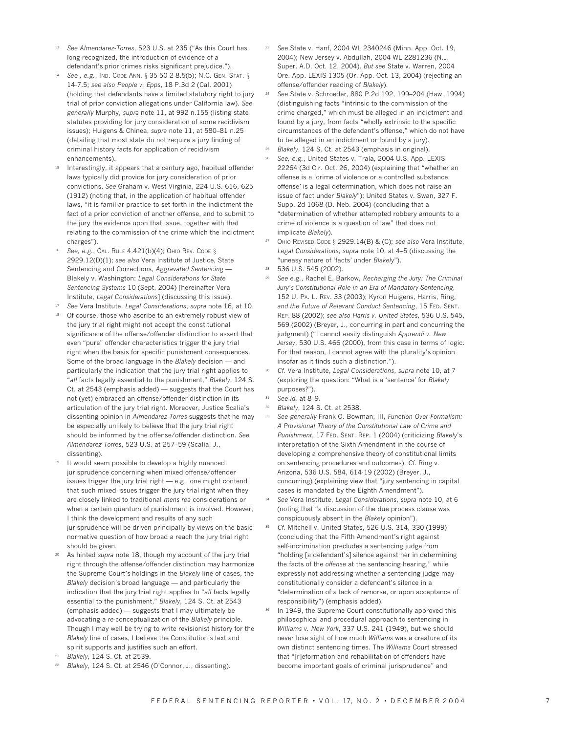- <sup>13</sup> *See Almendarez-Torres*, 523 U.S. at 235 ("As this Court has long recognized, the introduction of evidence of a defendant's prior crimes risks significant prejudice.").
- <sup>14</sup> *See , e.g.*, IND. CODE ANN. § 35-50-2-8.5(b); N.C. GEN. STAT. § 14-7.5; *see also People v. Epps*, 18 P.3d 2 (Cal. 2001) (holding that defendants have a limited statutory right to jury trial of prior conviction allegations under California law). *See generally* Murphy, *supra* note 11, at 992 n.155 (listing state statutes providing for jury consideration of some recidivism issues); Huigens & Chinea, *supra* note 11, at 580–81 n.25 (detailing that most state do not require a jury finding of criminal history facts for application of recidivism enhancements).
- <sup>15</sup> Interestingly, it appears that a century ago, habitual offender laws typically did provide for jury consideration of prior convictions. *See* Graham v. West Virginia, 224 U.S. 616, 625 (1912) (noting that, in the application of habitual offender laws, "it is familiar practice to set forth in the indictment the fact of a prior conviction of another offense, and to submit to the jury the evidence upon that issue, together with that relating to the commission of the crime which the indictment charges").
- See, e.g., CAL. RULE 4.421(b)(4); OHIO REV. CODE § 2929.12(D)(1); *see also* Vera Institute of Justice, State Sentencing and Corrections, *Aggravated Sentencing —* Blakely v. Washington: *Legal Considerations for State Sentencing Systems* 10 (Sept. 2004) [hereinafter Vera Institute, *Legal Considerations*] (discussing this issue).
- <sup>17</sup> *See* Vera Institute, *Legal Considerations*, *supra* note 16, at 10.
- 18 Of course, those who ascribe to an extremely robust view of the jury trial right might not accept the constitutional significance of the offense/offender distinction to assert that even "pure" offender characteristics trigger the jury trial right when the basis for specific punishment consequences. Some of the broad language in the *Blakely* decision — and particularly the indication that the jury trial right applies to "*all* facts legally essential to the punishment," *Blakely*, 124 S. Ct. at 2543 (emphasis added) — suggests that the Court has not (yet) embraced an offense/offender distinction in its articulation of the jury trial right. Moreover, Justice Scalia's dissenting opinion in *Almendarez-Torres* suggests that he may be especially unlikely to believe that the jury trial right should be informed by the offense/offender distinction. *See Almendarez-Torres*, 523 U.S. at 257–59 (Scalia, J., dissenting).
- <sup>19</sup> It would seem possible to develop a highly nuanced jurisprudence concerning when mixed offense/offender issues trigger the jury trial right — e.g., one might contend that such mixed issues trigger the jury trial right when they are closely linked to traditional *mens rea* considerations or when a certain quantum of punishment is involved. However, I think the development and results of any such jurisprudence will be driven principally by views on the basic normative question of how broad a reach the jury trial right should be given.
- As hinted *supra* note 18, though my account of the jury trial right through the offense/offender distinction may harmonize the Supreme Court's holdings in the *Blakely* line of cases, the *Blakely* decision's broad language — and particularly the indication that the jury trial right applies to "*all* facts legally essential to the punishment," *Blakely*, 124 S. Ct. at 2543 (emphasis added) — suggests that I may ultimately be advocating a *re-*conceptualization of the *Blakely* principle. Though I may well be trying to write revisionist history for the *Blakely* line of cases, I believe the Constitution's text and spirit supports and justifies such an effort.
- <sup>21</sup> *Blakely*, 124 S. Ct. at 2539.
- <sup>22</sup> *Blakely*, 124 S. Ct. at 2546 (O'Connor, J., dissenting).
- <sup>23</sup> *See* State v. Hanf, 2004 WL 2340246 (Minn. App. Oct. 19, 2004); New Jersey v. Abdullah, 2004 WL 2281236 (N.J. Super. A.D. Oct. 12, 2004). *But see* State v. Warren, 2004 Ore. App. LEXIS 1305 (Or. App. Oct. 13, 2004) (rejecting an offense/offender reading of *Blakely*).
- <sup>24</sup> *See* State v. Schroeder, 880 P.2d 192, 199–204 (Haw. 1994) (distinguishing facts "intrinsic to the commission of the crime charged," which must be alleged in an indictment and found by a jury, from facts "wholly extrinsic to the specific circumstances of the defendant's offense," which do not have to be alleged in an indictment or found by a jury).
- <sup>25</sup> *Blakely*, 124 S. Ct. at 2543 (emphasis in original).
- <sup>26</sup> *See, e.g.*, United States v. Trala, 2004 U.S. App. LEXIS 22264 (3d Cir. Oct. 26, 2004) (explaining that "whether an offense is a 'crime of violence or a controlled substance offense' is a legal determination, which does not raise an issue of fact under *Blakely*"); United States v. Swan, 327 F. Supp. 2d 1068 (D. Neb. 2004) (concluding that a "determination of whether attempted robbery amounts to a crime of violence is a question of law" that does not implicate *Blakely*).
- <sup>27</sup> OHIO REVISED CODE § 2929.14(B) & (C); *see also* Vera Institute, *Legal Considerations*, *supra* note 10, at 4–5 (discussing the "uneasy nature of 'facts' under *Blakely*").
- 536 U.S. 545 (2002).
- <sup>29</sup> *See e.g.*, Rachel E. Barkow, *Recharging the Jury: The Criminal Jury's Constitutional Role in an Era of Mandatory Sentencing*, 152 U. PA. L. REV. 33 (2003); Kyron Huigens, Harris, Ring, *and the Future of Relevant Conduct Sentencing*, 15 FED. SENT. REP. 88 (2002); *see also Harris v. United States*, 536 U.S. 545, 569 (2002) (Breyer, J., concurring in part and concurring the judgment) ("I cannot easily distinguish *Apprendi v. New Jersey*, 530 U.S. 466 (2000), from this case in terms of logic. For that reason, I cannot agree with the plurality's opinion insofar as it finds such a distinction.").
- <sup>30</sup> *Cf.* Vera Institute, *Legal Considerations*, *supra* note 10, at 7 (exploring the question: "What is a 'sentence' for *Blakely* purposes?").
- <sup>31</sup> *See id.* at 8–9.
- <sup>32</sup> *Blakely*, 124 S. Ct. at 2538.
- <sup>33</sup> *See generally* Frank O. Bowman, III, *Function Over Formalism: A Provisional Theory of the Constitutional Law of Crime and Punishment*, 17 FED. SENT. REP. 1 (2004) (criticizing *Blakely*'s interpretation of the Sixth Amendment in the course of developing a comprehensive theory of constitutional limits on sentencing procedures and outcomes). *Cf*. Ring v. Arizona, 536 U.S. 584, 614-19 (2002) (Breyer, J., concurring) (explaining view that "jury sentencing in capital cases is mandated by the Eighth Amendment").
- <sup>34</sup> *See* Vera Institute, *Legal Considerations*, *supra* note 10, at 6 (noting that "a discussion of the due process clause was conspicuously absent in the *Blakely* opinion").
- <sup>35</sup> *Cf.* Mitchell v. United States, 526 U.S. 314, 330 (1999) (concluding that the Fifth Amendment's right against self-incrimination precludes a sentencing judge from "holding [a defendant's] silence against her in determining the facts of the *offense* at the sentencing hearing," while expressly not addressing whether a sentencing judge may constitutionally consider a defendant's silence in a "determination of a lack of remorse, or upon acceptance of responsibility") (emphasis added).
	- In 1949, the Supreme Court constitutionally approved this philosophical and procedural approach to sentencing in *Williams v. New York*, 337 U.S. 241 (1949), but we should never lose sight of how much *Williams* was a creature of its own distinct sentencing times. The *Williams* Court stressed that "[r]eformation and rehabilitation of offenders have become important goals of criminal jurisprudence" and